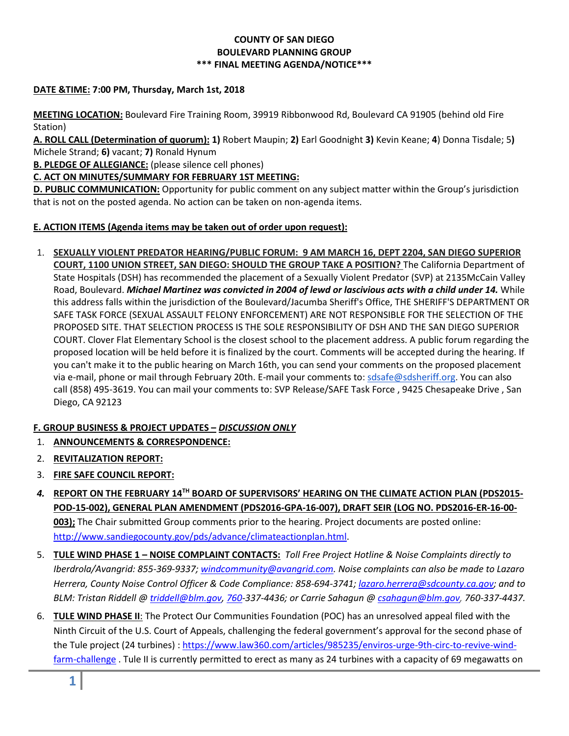## **COUNTY OF SAN DIEGO BOULEVARD PLANNING GROUP \*\*\* FINAL MEETING AGENDA/NOTICE\*\*\***

## **DATE &TIME: 7:00 PM, Thursday, March 1st, 2018**

**MEETING LOCATION:** Boulevard Fire Training Room, 39919 Ribbonwood Rd, Boulevard CA 91905 (behind old Fire Station)

**A. ROLL CALL (Determination of quorum): 1)** Robert Maupin; **2)** Earl Goodnight **3)** Kevin Keane; **4**) Donna Tisdale; 5**)**  Michele Strand; **6)** vacant; **7)** Ronald Hynum

**B. PLEDGE OF ALLEGIANCE:** (please silence cell phones)

## **C. ACT ON MINUTES/SUMMARY FOR FEBRUARY 1ST MEETING:**

**D. PUBLIC COMMUNICATION:** Opportunity for public comment on any subject matter within the Group's jurisdiction that is not on the posted agenda. No action can be taken on non-agenda items.

## **E. ACTION ITEMS (Agenda items may be taken out of order upon request):**

1. **SEXUALLY VIOLENT PREDATOR HEARING/PUBLIC FORUM: 9 AM MARCH 16, DEPT 2204, SAN DIEGO SUPERIOR COURT, 1100 UNION STREET, SAN DIEGO: SHOULD THE GROUP TAKE A POSITION?** The California Department of State Hospitals (DSH) has recommended the placement of a Sexually Violent Predator (SVP) at 2135McCain Valley Road, Boulevard. *Michael Martinez was convicted in 2004 of lewd or lascivious acts with a child under 14.* While this address falls within the jurisdiction of the Boulevard/Jacumba Sheriff's Office, THE SHERIFF'S DEPARTMENT OR SAFE TASK FORCE (SEXUAL ASSAULT FELONY ENFORCEMENT) ARE NOT RESPONSIBLE FOR THE SELECTION OF THE PROPOSED SITE. THAT SELECTION PROCESS IS THE SOLE RESPONSIBILITY OF DSH AND THE SAN DIEGO SUPERIOR COURT. Clover Flat Elementary School is the closest school to the placement address. A public forum regarding the proposed location will be held before it is finalized by the court. Comments will be accepted during the hearing. If you can't make it to the public hearing on March 16th, you can send your comments on the proposed placement via e-mail, phone or mail through February 20th. E-mail your comments to: [sdsafe@sdsheriff.org.](mailto:sdsafe@sdsheriff.org) You can also call [\(858\) 495-3619.](tel:(858)%20495-3619) You can mail your comments to: SVP Release/SAFE Task Force , [9425 Chesapeake Drive](https://maps.google.com/?q=9425+Chesapeake+Drive+San+Diego,+CA+92123&entry=gmail&source=g) , [San](https://maps.google.com/?q=9425+Chesapeake+Drive+San+Diego,+CA+92123&entry=gmail&source=g)  [Diego, CA 92123](https://maps.google.com/?q=9425+Chesapeake+Drive+San+Diego,+CA+92123&entry=gmail&source=g)

# **F. GROUP BUSINESS & PROJECT UPDATES –** *DISCUSSION ONLY*

- 1. **ANNOUNCEMENTS & CORRESPONDENCE:**
- 2. **REVITALIZATION REPORT:**
- 3. **FIRE SAFE COUNCIL REPORT:**
- *4.* **REPORT ON THE FEBRUARY 14TH BOARD OF SUPERVISORS' HEARING ON THE CLIMATE ACTION PLAN (PDS2015- POD-15-002), GENERAL PLAN AMENDMENT (PDS2016-GPA-16-007), DRAFT SEIR (LOG NO. PDS2016-ER-16-00- 003);** The Chair submitted Group comments prior to the hearing. Project documents are posted online: [http://www.sandiegocounty.gov/pds/advance/climateactionplan.html.](http://www.sandiegocounty.gov/pds/advance/climateactionplan.html)
- 5. **TULE WIND PHASE 1 – NOISE COMPLAINT CONTACTS:** *Toll Free Project Hotline & Noise Complaints directly to Iberdrola/Avangrid: 855-369-9337; [windcommunity@avangrid.com.](mailto:windcommunity@avangrid.com) Noise complaints can also be made to Lazaro Herrera, County Noise Control Officer & Code Compliance: 858-694-3741; [lazaro.herrera@sdcounty.ca.gov;](mailto:lazaro.herrera@sdcounty.ca.gov) and to BLM: Tristan Riddell [@ triddell@blm.gov,](mailto:triddell@blm.gov) [760-](mailto:760)337-4436; or Carrie Sahagun [@ csahagun@blm.gov,](mailto:csahagun@blm.gov) 760-337-4437.*
- 6. **TULE WIND PHASE II**: The [Protect Our Communities Foundation](https://protectourcommunities.org/) (POC) has an unresolved appeal filed with the Ninth Circuit of the U.S. Court of Appeals, challenging the federal government's approval for the second phase of the Tule project (24 turbines) : [https://www.law360.com/articles/985235/enviros-urge-9th-circ-to-revive-wind](https://www.law360.com/articles/985235/enviros-urge-9th-circ-to-revive-wind-farm-challenge)[farm-challenge](https://www.law360.com/articles/985235/enviros-urge-9th-circ-to-revive-wind-farm-challenge) . Tule II is currently permitted to erect as many as 24 turbines with a capacity of 69 megawatts on